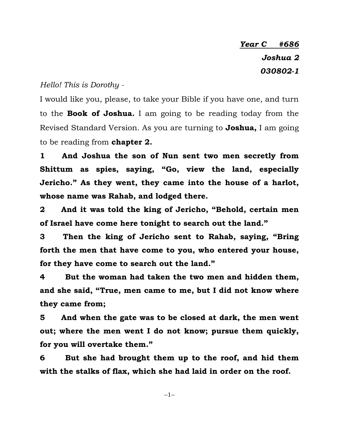*Year C #686 Joshua 2 030802-1*

## *Hello! This is Dorothy -*

I would like you, please, to take your Bible if you have one, and turn to the **Book of Joshua.** I am going to be reading today from the Revised Standard Version. As you are turning to **Joshua,** I am going to be reading from **chapter 2.**

**1 And Joshua the son of Nun sent two men secretly from Shittum as spies, saying, "Go, view the land, especially Jericho." As they went, they came into the house of a harlot, whose name was Rahab, and lodged there.**

**2 And it was told the king of Jericho, "Behold, certain men of Israel have come here tonight to search out the land."**

**3 Then the king of Jericho sent to Rahab, saying, "Bring forth the men that have come to you, who entered your house, for they have come to search out the land."**

**4 But the woman had taken the two men and hidden them, and she said, "True, men came to me, but I did not know where they came from;**

**5 And when the gate was to be closed at dark, the men went out; where the men went I do not know; pursue them quickly, for you will overtake them."**

**6 But she had brought them up to the roof, and hid them with the stalks of flax, which she had laid in order on the roof.**

 $-1-$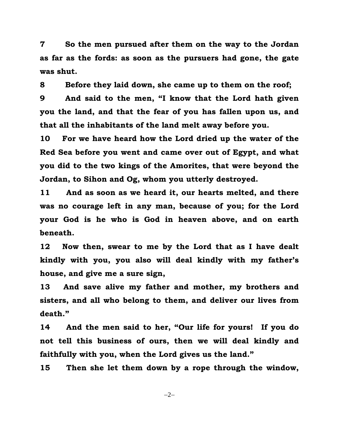**7 So the men pursued after them on the way to the Jordan as far as the fords: as soon as the pursuers had gone, the gate was shut.**

**8 Before they laid down, she came up to them on the roof;**

**9 And said to the men, "I know that the Lord hath given you the land, and that the fear of you has fallen upon us, and that all the inhabitants of the land melt away before you.**

**10 For we have heard how the Lord dried up the water of the Red Sea before you went and came over out of Egypt, and what you did to the two kings of the Amorites, that were beyond the Jordan, to Sihon and Og, whom you utterly destroyed.**

**11 And as soon as we heard it, our hearts melted, and there was no courage left in any man, because of you; for the Lord your God is he who is God in heaven above, and on earth beneath.**

**12 Now then, swear to me by the Lord that as I have dealt kindly with you, you also will deal kindly with my father's house, and give me a sure sign,**

**13 And save alive my father and mother, my brothers and sisters, and all who belong to them, and deliver our lives from death."**

**14 And the men said to her, "Our life for yours! If you do not tell this business of ours, then we will deal kindly and faithfully with you, when the Lord gives us the land."**

**15 Then she let them down by a rope through the window,** 

 $-2-$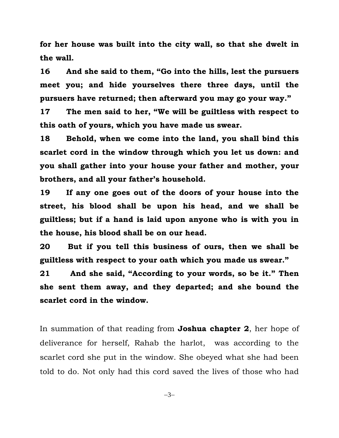**for her house was built into the city wall, so that she dwelt in the wall.**

**16 And she said to them, "Go into the hills, lest the pursuers meet you; and hide yourselves there three days, until the pursuers have returned; then afterward you may go your way."**

**17 The men said to her, "We will be guiltless with respect to this oath of yours, which you have made us swear.**

**18 Behold, when we come into the land, you shall bind this scarlet cord in the window through which you let us down: and you shall gather into your house your father and mother, your brothers, and all your father's household.**

**19 If any one goes out of the doors of your house into the street, his blood shall be upon his head, and we shall be guiltless; but if a hand is laid upon anyone who is with you in the house, his blood shall be on our head.**

**20 But if you tell this business of ours, then we shall be guiltless with respect to your oath which you made us swear."**

**21 And she said, "According to your words, so be it." Then she sent them away, and they departed; and she bound the scarlet cord in the window.**

In summation of that reading from **Joshua chapter 2**, her hope of deliverance for herself, Rahab the harlot, was according to the scarlet cord she put in the window. She obeyed what she had been told to do. Not only had this cord saved the lives of those who had

 $-3-$